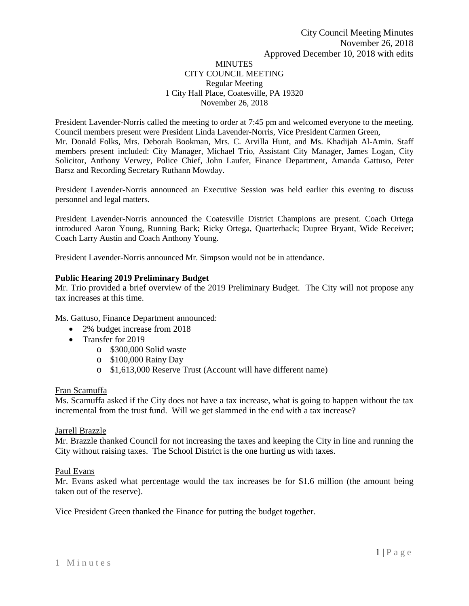### **MINUTES** CITY COUNCIL MEETING Regular Meeting 1 City Hall Place, Coatesville, PA 19320 November 26, 2018

President Lavender-Norris called the meeting to order at 7:45 pm and welcomed everyone to the meeting. Council members present were President Linda Lavender-Norris, Vice President Carmen Green, Mr. Donald Folks, Mrs. Deborah Bookman, Mrs. C. Arvilla Hunt, and Ms. Khadijah Al-Amin. Staff members present included: City Manager, Michael Trio, Assistant City Manager, James Logan, City Solicitor, Anthony Verwey, Police Chief, John Laufer, Finance Department, Amanda Gattuso, Peter Barsz and Recording Secretary Ruthann Mowday.

President Lavender-Norris announced an Executive Session was held earlier this evening to discuss personnel and legal matters.

President Lavender-Norris announced the Coatesville District Champions are present. Coach Ortega introduced Aaron Young, Running Back; Ricky Ortega, Quarterback; Dupree Bryant, Wide Receiver; Coach Larry Austin and Coach Anthony Young.

President Lavender-Norris announced Mr. Simpson would not be in attendance.

### **Public Hearing 2019 Preliminary Budget**

Mr. Trio provided a brief overview of the 2019 Preliminary Budget. The City will not propose any tax increases at this time.

Ms. Gattuso, Finance Department announced:

- 2% budget increase from 2018
- Transfer for 2019
	- o \$300,000 Solid waste
	- o \$100,000 Rainy Day
	- o \$1,613,000 Reserve Trust (Account will have different name)

#### Fran Scamuffa

Ms. Scamuffa asked if the City does not have a tax increase, what is going to happen without the tax incremental from the trust fund. Will we get slammed in the end with a tax increase?

#### Jarrell Brazzle

Mr. Brazzle thanked Council for not increasing the taxes and keeping the City in line and running the City without raising taxes. The School District is the one hurting us with taxes.

#### Paul Evans

Mr. Evans asked what percentage would the tax increases be for \$1.6 million (the amount being taken out of the reserve).

Vice President Green thanked the Finance for putting the budget together.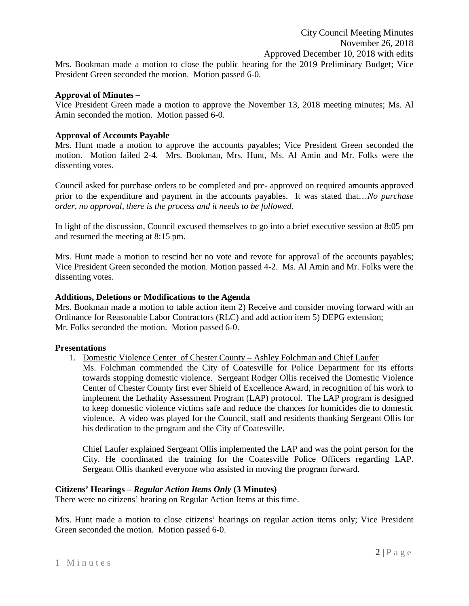Mrs. Bookman made a motion to close the public hearing for the 2019 Preliminary Budget; Vice President Green seconded the motion. Motion passed 6-0.

### **Approval of Minutes –**

Vice President Green made a motion to approve the November 13, 2018 meeting minutes; Ms. Al Amin seconded the motion. Motion passed 6-0.

## **Approval of Accounts Payable**

Mrs. Hunt made a motion to approve the accounts payables; Vice President Green seconded the motion. Motion failed 2-4. Mrs. Bookman, Mrs. Hunt, Ms. Al Amin and Mr. Folks were the dissenting votes.

Council asked for purchase orders to be completed and pre- approved on required amounts approved prior to the expenditure and payment in the accounts payables. It was stated that…*No purchase order, no approval, there is the process and it needs to be followed.* 

In light of the discussion, Council excused themselves to go into a brief executive session at 8:05 pm and resumed the meeting at 8:15 pm.

Mrs. Hunt made a motion to rescind her no vote and revote for approval of the accounts payables; Vice President Green seconded the motion. Motion passed 4-2. Ms. Al Amin and Mr. Folks were the dissenting votes.

### **Additions, Deletions or Modifications to the Agenda**

Mrs. Bookman made a motion to table action item 2) Receive and consider moving forward with an Ordinance for Reasonable Labor Contractors (RLC) and add action item 5) DEPG extension; Mr. Folks seconded the motion. Motion passed 6-0.

#### **Presentations**

- 1. Domestic Violence Center of Chester County Ashley Folchman and Chief Laufer
	- Ms. Folchman commended the City of Coatesville for Police Department for its efforts towards stopping domestic violence. Sergeant Rodger Ollis received the Domestic Violence Center of Chester County first ever Shield of Excellence Award, in recognition of his work to implement the Lethality Assessment Program (LAP) protocol. The LAP program is designed to keep domestic violence victims safe and reduce the chances for homicides die to domestic violence. A video was played for the Council, staff and residents thanking Sergeant Ollis for his dedication to the program and the City of Coatesville.

Chief Laufer explained Sergeant Ollis implemented the LAP and was the point person for the City. He coordinated the training for the Coatesville Police Officers regarding LAP. Sergeant Ollis thanked everyone who assisted in moving the program forward.

#### **Citizens' Hearings –** *Regular Action Items Only* **(3 Minutes)**

There were no citizens' hearing on Regular Action Items at this time.

Mrs. Hunt made a motion to close citizens' hearings on regular action items only; Vice President Green seconded the motion. Motion passed 6-0.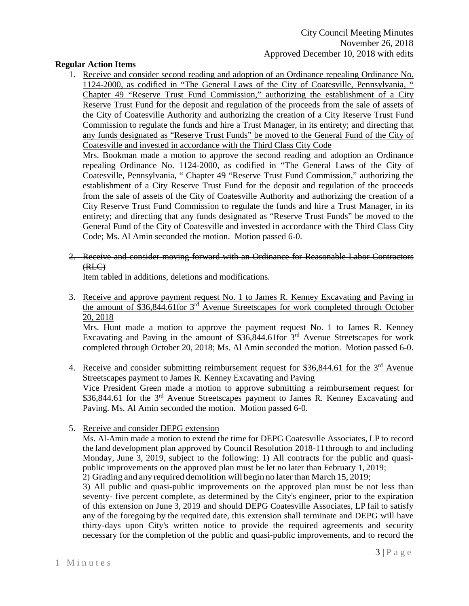## **Regular Action Items**

1. Receive and consider second reading and adoption of an Ordinance repealing Ordinance No. 1124-2000, as codified in "The General Laws of the City of Coatesville, Pennsylvania, " Chapter 49 "Reserve Trust Fund Commission," authorizing the establishment of a City Reserve Trust Fund for the deposit and regulation of the proceeds from the sale of assets of the City of Coatesville Authority and authorizing the creation of a City Reserve Trust Fund Commission to regulate the funds and hire a Trust Manager, in its entirety; and directing that any funds designated as "Reserve Trust Funds" be moved to the General Fund of the City of Coatesville and invested in accordance with the Third Class City Code

Mrs. Bookman made a motion to approve the second reading and adoption an Ordinance repealing Ordinance No. 1124-2000, as codified in "The General Laws of the City of Coatesville, Pennsylvania, " Chapter 49 "Reserve Trust Fund Commission," authorizing the establishment of a City Reserve Trust Fund for the deposit and regulation of the proceeds from the sale of assets of the City of Coatesville Authority and authorizing the creation of a City Reserve Trust Fund Commission to regulate the funds and hire a Trust Manager, in its entirety; and directing that any funds designated as "Reserve Trust Funds" be moved to the General Fund of the City of Coatesville and invested in accordance with the Third Class City Code; Ms. Al Amin seconded the motion. Motion passed 6-0.

2. Receive and consider moving forward with an Ordinance for Reasonable Labor Contractors (RLC)

Item tabled in additions, deletions and modifications.

3. Receive and approve payment request No. 1 to James R. Kenney Excavating and Paving in the amount of \$36,844.61for 3rd Avenue Streetscapes for work completed through October 20, 2018

Mrs. Hunt made a motion to approve the payment request No. 1 to James R. Kenney Excavating and Paving in the amount of  $\overline{\$36,844.61}$  for  $\overline{3}^{\text{rd}}$  Avenue Streetscapes for work completed through October 20, 2018; Ms. Al Amin seconded the motion. Motion passed 6-0.

- 4. Receive and consider submitting reimbursement request for \$36,844.61 for the 3<sup>rd</sup> Avenue Streetscapes payment to James R. Kenney Excavating and Paving Vice President Green made a motion to approve submitting a reimbursement request for \$36,844.61 for the 3<sup>rd</sup> Avenue Streetscapes payment to James R. Kenney Excavating and Paving. Ms. Al Amin seconded the motion. Motion passed 6-0.
- 5. Receive and consider DEPG extension

Ms. Al-Amin made a motion to extend the time for DEPG Coatesville Associates, LP to record the land development plan approved by Council Resolution 2018-11through to and including Monday, June 3, 2019, subject to the following: 1) All contracts for the public and quasipublic improvements on the approved plan must be let no later than February 1, 2019; 2) Grading and any required demolition will begin no laterthan March 15, 2019;

3) All public and quasi-public improvements on the approved plan must be not less than seventy- five percent complete, as determined by the City's engineer, prior to the expiration of this extension on June 3, 2019 and should DEPG Coatesville Associates, LP fail to satisfy any of the foregoing by the required date, this extension shall terminate and DEPG will have thirty-days upon City's written notice to provide the required agreements and security necessary for the completion of the public and quasi-public improvements, and to record the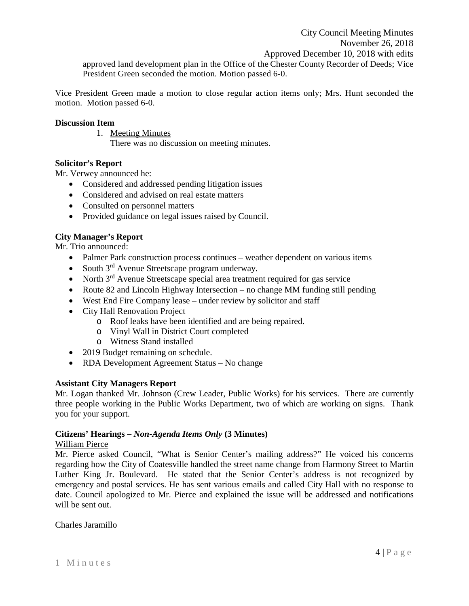Vice President Green made a motion to close regular action items only; Mrs. Hunt seconded the motion. Motion passed 6-0.

#### **Discussion Item**

1. Meeting Minutes

There was no discussion on meeting minutes.

### **Solicitor's Report**

Mr. Verwey announced he:

- Considered and addressed pending litigation issues
- Considered and advised on real estate matters
- Consulted on personnel matters
- Provided guidance on legal issues raised by Council.

# **City Manager's Report**

Mr. Trio announced:

- Palmer Park construction process continues weather dependent on various items
- South  $3^{rd}$  Avenue Streetscape program underway.
- North  $3<sup>rd</sup>$  Avenue Streetscape special area treatment required for gas service
- Route 82 and Lincoln Highway Intersection no change MM funding still pending
- West End Fire Company lease under review by solicitor and staff
- City Hall Renovation Project
	- o Roof leaks have been identified and are being repaired.
	- o Vinyl Wall in District Court completed
	- o Witness Stand installed
- 2019 Budget remaining on schedule.
- RDA Development Agreement Status No change

#### **Assistant City Managers Report**

Mr. Logan thanked Mr. Johnson (Crew Leader, Public Works) for his services. There are currently three people working in the Public Works Department, two of which are working on signs. Thank you for your support.

#### **Citizens' Hearings –** *Non-Agenda Items Only* **(3 Minutes)**

#### William Pierce

Mr. Pierce asked Council, "What is Senior Center's mailing address?" He voiced his concerns regarding how the City of Coatesville handled the street name change from Harmony Street to Martin Luther King Jr. Boulevard. He stated that the Senior Center's address is not recognized by emergency and postal services. He has sent various emails and called City Hall with no response to date. Council apologized to Mr. Pierce and explained the issue will be addressed and notifications will be sent out.

#### Charles Jaramillo